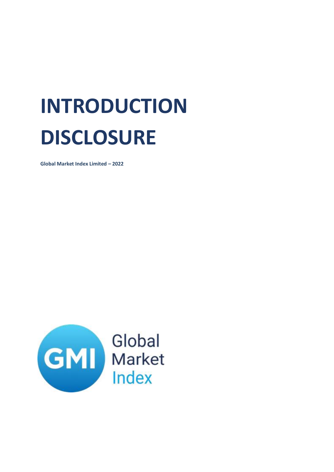## **INTRODUCTION DISCLOSURE**

**Global Market Index Limited – 2022**

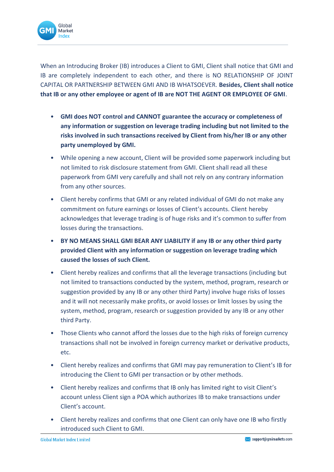

When an Introducing Broker (IB) introduces a Client to GMI, Client shall notice that GMI and IB are completely independent to each other, and there is NO RELATIONSHIP OF JOINT CAPITAL OR PARTNERSHIP BETWEEN GMI AND IB WHATSOEVER. **Besides, Client shall notice that IB or any other employee or agent of IB are NOT THE AGENT OR EMPLOYEE OF GMI**.

- **GMI does NOT control and CANNOT guarantee the accuracy or completeness of any information or suggestion on leverage trading including but not limited to the risks involved in such transactions received by Client from his/her IB or any other party unemployed by GMI.**
- While opening a new account, Client will be provided some paperwork including but not limited to risk disclosure statement from GMI. Client shall read all these paperwork from GMI very carefully and shall not rely on any contrary information from any other sources.
- Client hereby confirms that GMI or any related individual of GMI do not make any commitment on future earnings or losses of Client's accounts. Client hereby acknowledges that leverage trading is of huge risks and it's common to suffer from losses during the transactions.
- **BY NO MEANS SHALL GMI BEAR ANY LIABILITY if any IB or any other third party provided Client with any information or suggestion on leverage trading which caused the losses of such Client.**
- Client hereby realizes and confirms that all the leverage transactions (including but not limited to transactions conducted by the system, method, program, research or suggestion provided by any IB or any other third Party) involve huge risks of losses and it will not necessarily make profits, or avoid losses or limit losses by using the system, method, program, research or suggestion provided by any IB or any other third Party.
- Those Clients who cannot afford the losses due to the high risks of foreign currency transactions shall not be involved in foreign currency market or derivative products, etc.
- Client hereby realizes and confirms that GMI may pay remuneration to Client's IB for introducing the Client to GMI per transaction or by other methods.
- Client hereby realizes and confirms that IB only has limited right to visit Client's account unless Client sign a POA which authorizes IB to make transactions under Client's account.
- Client hereby realizes and confirms that one Client can only have one IB who firstly introduced such Client to GMI.